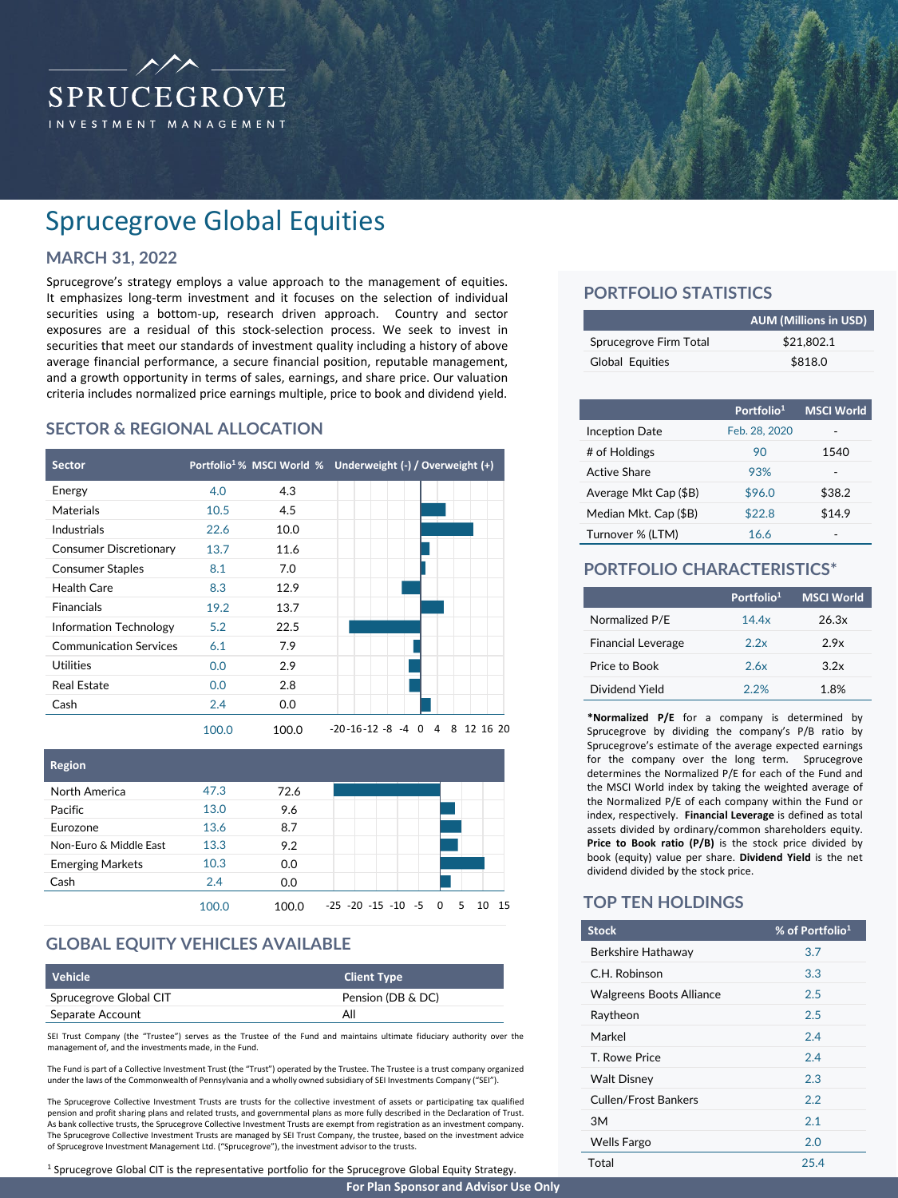

# Sprucegrove Global Equities

# **MARCH 31, 2022**

Sprucegrove's strategy employs a value approach to the management of equities. It emphasizes long-term investment and it focuses on the selection of individual securities using a bottom-up, research driven approach. Country and sector exposures are a residual of this stock-selection process. We seek to invest in securities that meet our standards of investment quality including a history of above average financial performance, a secure financial position, reputable management, and a growth opportunity in terms of sales, earnings, and share price. Our valuation criteria includes normalized price earnings multiple, price to book and dividend yield.

### **SECTOR & REGIONAL ALLOCATION**





### **GLOBAL EQUITY VEHICLES AVAILABLE**

| Vehicle                | <b>Client Type</b> |
|------------------------|--------------------|
| Sprucegrove Global CIT | Pension (DB & DC)  |
| Separate Account       | All                |

SEI Trust Company (the "Trustee") serves as the Trustee of the Fund and maintains ultimate fiduciary authority over the management of, and the investments made, in the Fund.

The Fund is part of a Collective Investment Trust (the "Trust") operated by the Trustee. The Trustee is a trust company organized under the laws of the Commonwealth of Pennsylvania and a wholly owned subsidiary of SEI Investments Company ("SEI").

The Sprucegrove Collective Investment Trusts are trusts for the collective investment of assets or participating tax qualified pension and profit sharing plans and related trusts, and governmental plans as more fully described in the Declaration of Trust.<br>As bank collective trusts, the Sprucegrove Collective Investment Trusts are exempt from regis The Sprucegrove Collective Investment Trusts are managed by SEI Trust Company, the trustee, based on the investment advice of Sprucegrove Investment Management Ltd. ("Sprucegrove"), the investment advisorto the trusts.

<sup>1</sup> Sprucegrove Global CIT is the representative portfolio for the Sprucegrove Global Equity Strategy.

# **PORTFOLIO STATISTICS**

|                        | <b>AUM (Millions in USD)</b> |
|------------------------|------------------------------|
| Sprucegrove Firm Total | \$21.802.1                   |
| Global Equities        | \$818.0                      |

|                       | Portfolio <sup>1</sup> | <b>MSCI World</b> |
|-----------------------|------------------------|-------------------|
| <b>Inception Date</b> | Feb. 28, 2020          |                   |
| # of Holdings         | 90                     | 1540              |
| Active Share          | 93%                    |                   |
| Average Mkt Cap (\$B) | \$96.0                 | \$38.2            |
| Median Mkt. Cap (\$B) | \$22.8                 | \$14.9            |
| Turnover % (LTM)      | 16.6                   |                   |

# **PORTFOLIO CHARACTERISTICS\***

|                           | Portfolio <sup>1</sup> | <b>MSCI World</b> |
|---------------------------|------------------------|-------------------|
| Normalized P/E            | 14.4x                  | 26.3x             |
| <b>Financial Leverage</b> | 22x                    | 2.9x              |
| Price to Book             | 26x                    | 3.2x              |
| Dividend Yield            | 2.2%                   | 1.8%              |

**\*Normalized P/E** for a company is determined by Sprucegrove by dividing the company's P/B ratio by Sprucegrove's estimate of the average expected earnings for the company over the long term. Sprucegrove determines the Normalized P/E for each of the Fund and the MSCI World index by taking the weighted average of the Normalized P/E of each company within the Fund or index, respectively. **Financial Leverage** is defined as total assets divided by ordinary/common shareholders equity. **Price to Book ratio (P/B)** is the stock price divided by book (equity) value per share. **Dividend Yield** is the net dividend divided by the stock price.

### **TOP TEN HOLDINGS**

| <b>Stock</b>                    | % of Portfolio <sup>1</sup> |
|---------------------------------|-----------------------------|
| Berkshire Hathaway              | 3.7                         |
| C.H. Robinson                   | 3.3                         |
| <b>Walgreens Boots Alliance</b> | 2.5                         |
| Raytheon                        | 2.5                         |
| Markel                          | 2.4                         |
| T. Rowe Price                   | 2.4                         |
| <b>Walt Disney</b>              | 2.3                         |
| Cullen/Frost Bankers            | 2.2                         |
| 3M                              | 2.1                         |
| <b>Wells Fargo</b>              | 2.0                         |
| Total                           | 25.4                        |